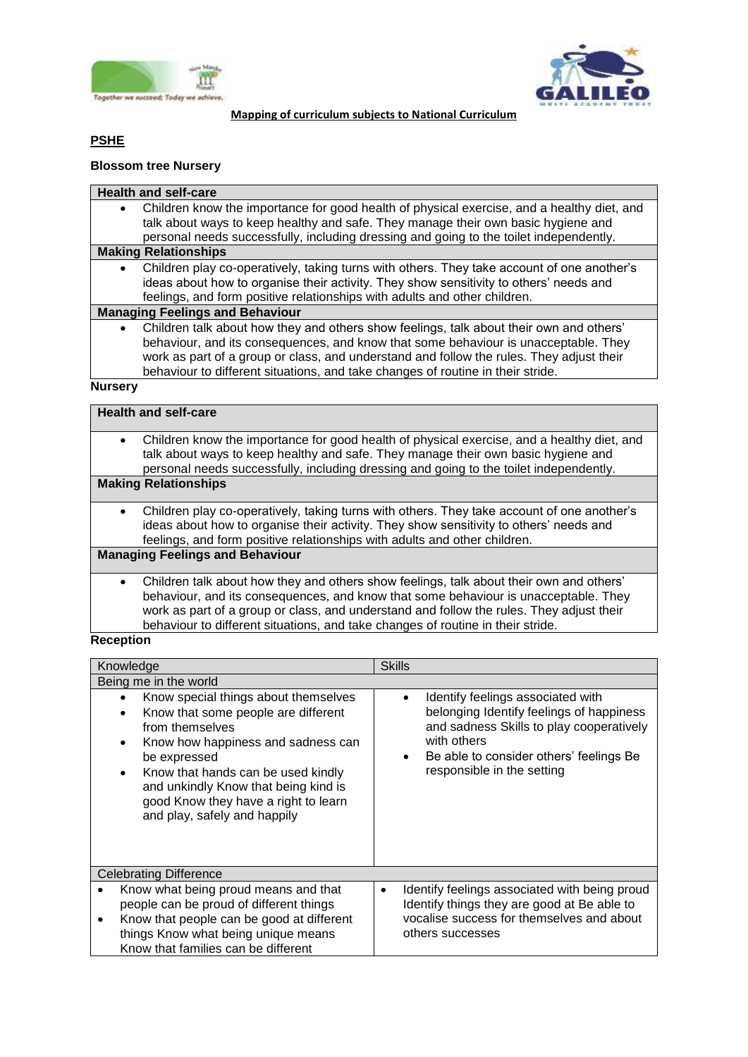



#### **Mapping of curriculum subjects to National Curriculum**

# **PSHE**

## **Blossom tree Nursery**

#### **Health and self-care**

 Children know the importance for good health of physical exercise, and a healthy diet, and talk about ways to keep healthy and safe. They manage their own basic hygiene and personal needs successfully, including dressing and going to the toilet independently.

#### **Making Relationships**

 Children play co-operatively, taking turns with others. They take account of one another's ideas about how to organise their activity. They show sensitivity to others' needs and feelings, and form positive relationships with adults and other children.

#### **Managing Feelings and Behaviour**

 Children talk about how they and others show feelings, talk about their own and others' behaviour, and its consequences, and know that some behaviour is unacceptable. They work as part of a group or class, and understand and follow the rules. They adjust their behaviour to different situations, and take changes of routine in their stride.

#### **Nursery**

|           | <b>Health and self-care</b>                                                                                                                                                                                                                                                                                                                                   |
|-----------|---------------------------------------------------------------------------------------------------------------------------------------------------------------------------------------------------------------------------------------------------------------------------------------------------------------------------------------------------------------|
| $\bullet$ | Children know the importance for good health of physical exercise, and a healthy diet, and<br>talk about ways to keep healthy and safe. They manage their own basic hygiene and<br>personal needs successfully, including dressing and going to the toilet independently.                                                                                     |
|           | <b>Making Relationships</b>                                                                                                                                                                                                                                                                                                                                   |
| $\bullet$ | Children play co-operatively, taking turns with others. They take account of one another's<br>ideas about how to organise their activity. They show sensitivity to others' needs and<br>feelings, and form positive relationships with adults and other children.                                                                                             |
|           | <b>Managing Feelings and Behaviour</b>                                                                                                                                                                                                                                                                                                                        |
| $\bullet$ | Children talk about how they and others show feelings, talk about their own and others'<br>behaviour, and its consequences, and know that some behaviour is unacceptable. They<br>work as part of a group or class, and understand and follow the rules. They adjust their<br>behaviour to different situations, and take changes of routine in their stride. |

#### **Reception**

| Knowledge |                                                                                                                                                                                                                                                                                                                         | <b>Skills</b>                                                                                                                                                                                                                               |
|-----------|-------------------------------------------------------------------------------------------------------------------------------------------------------------------------------------------------------------------------------------------------------------------------------------------------------------------------|---------------------------------------------------------------------------------------------------------------------------------------------------------------------------------------------------------------------------------------------|
|           | Being me in the world                                                                                                                                                                                                                                                                                                   |                                                                                                                                                                                                                                             |
|           | Know special things about themselves<br>Know that some people are different<br>from themselves<br>Know how happiness and sadness can<br>be expressed<br>Know that hands can be used kindly<br>$\bullet$<br>and unkindly Know that being kind is<br>good Know they have a right to learn<br>and play, safely and happily | Identify feelings associated with<br>$\bullet$<br>belonging Identify feelings of happiness<br>and sadness Skills to play cooperatively<br>with others<br>Be able to consider others' feelings Be<br>$\bullet$<br>responsible in the setting |
|           | <b>Celebrating Difference</b>                                                                                                                                                                                                                                                                                           |                                                                                                                                                                                                                                             |
|           | Know what being proud means and that                                                                                                                                                                                                                                                                                    | Identify feelings associated with being proud<br>$\bullet$                                                                                                                                                                                  |
|           | people can be proud of different things                                                                                                                                                                                                                                                                                 | Identify things they are good at Be able to                                                                                                                                                                                                 |
|           | Know that people can be good at different                                                                                                                                                                                                                                                                               | vocalise success for themselves and about                                                                                                                                                                                                   |
|           | things Know what being unique means                                                                                                                                                                                                                                                                                     | others successes                                                                                                                                                                                                                            |
|           | Know that families can be different                                                                                                                                                                                                                                                                                     |                                                                                                                                                                                                                                             |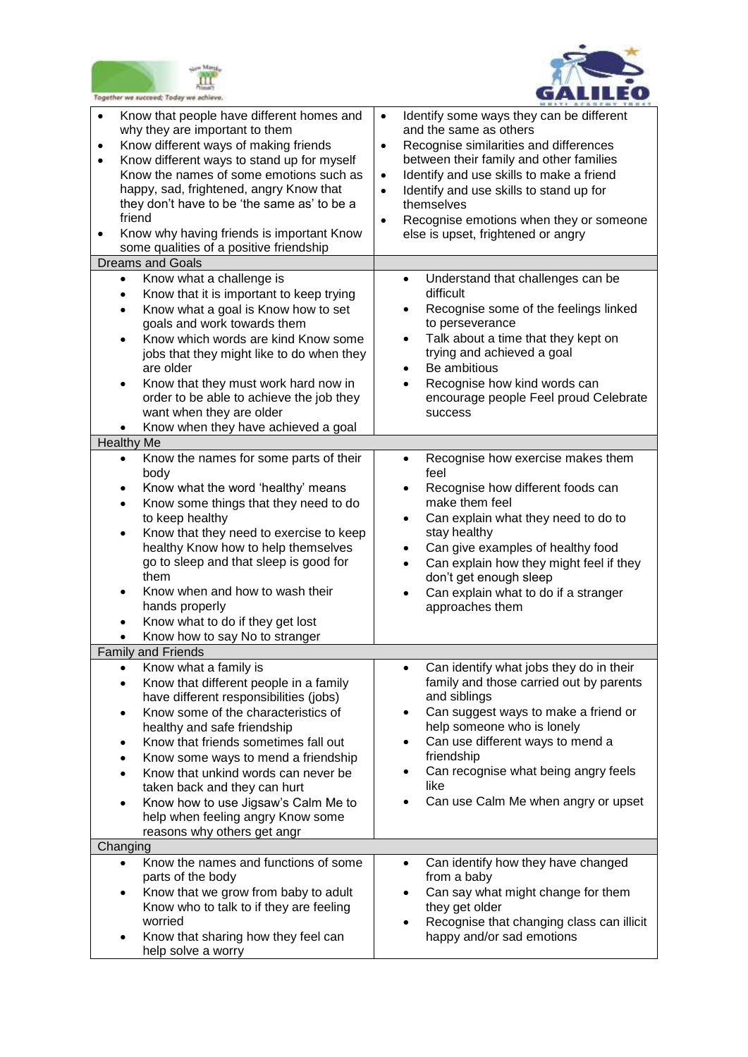



| Together we succeed; Today we achieve.                                      |                                                                                                                                                                                                                                                                                                                                                                                                                         |                                                               |                                                                                                                                                                                                                                                                                                                                               |
|-----------------------------------------------------------------------------|-------------------------------------------------------------------------------------------------------------------------------------------------------------------------------------------------------------------------------------------------------------------------------------------------------------------------------------------------------------------------------------------------------------------------|---------------------------------------------------------------|-----------------------------------------------------------------------------------------------------------------------------------------------------------------------------------------------------------------------------------------------------------------------------------------------------------------------------------------------|
| $\bullet$<br>why they are important to them<br>$\bullet$<br>٠<br>friend     | Know that people have different homes and<br>Know different ways of making friends<br>Know different ways to stand up for myself<br>Know the names of some emotions such as<br>happy, sad, frightened, angry Know that<br>they don't have to be 'the same as' to be a<br>Know why having friends is important Know<br>some qualities of a positive friendship                                                           | $\bullet$<br>$\bullet$<br>$\bullet$<br>$\bullet$<br>$\bullet$ | Identify some ways they can be different<br>and the same as others<br>Recognise similarities and differences<br>between their family and other families<br>Identify and use skills to make a friend<br>Identify and use skills to stand up for<br>themselves<br>Recognise emotions when they or someone<br>else is upset, frightened or angry |
| <b>Dreams and Goals</b>                                                     |                                                                                                                                                                                                                                                                                                                                                                                                                         |                                                               |                                                                                                                                                                                                                                                                                                                                               |
| $\bullet$<br>٠<br>$\bullet$<br>are older                                    | Know what a challenge is<br>Know that it is important to keep trying<br>Know what a goal is Know how to set<br>goals and work towards them<br>Know which words are kind Know some<br>jobs that they might like to do when they<br>Know that they must work hard now in<br>order to be able to achieve the job they<br>want when they are older<br>Know when they have achieved a goal                                   | $\bullet$                                                     | Understand that challenges can be<br>difficult<br>Recognise some of the feelings linked<br>to perseverance<br>Talk about a time that they kept on<br>trying and achieved a goal<br>Be ambitious<br>Recognise how kind words can<br>encourage people Feel proud Celebrate<br>success                                                           |
| <b>Healthy Me</b>                                                           |                                                                                                                                                                                                                                                                                                                                                                                                                         |                                                               |                                                                                                                                                                                                                                                                                                                                               |
| $\bullet$<br>body<br>$\bullet$<br>to keep healthy<br>them<br>hands properly | Know the names for some parts of their<br>Know what the word 'healthy' means<br>Know some things that they need to do<br>Know that they need to exercise to keep<br>healthy Know how to help themselves<br>go to sleep and that sleep is good for<br>Know when and how to wash their<br>Know what to do if they get lost<br>Know how to say No to stranger                                                              | $\bullet$<br>$\bullet$<br>$\bullet$                           | Recognise how exercise makes them<br>feel<br>Recognise how different foods can<br>make them feel<br>Can explain what they need to do to<br>stay healthy<br>Can give examples of healthy food<br>Can explain how they might feel if they<br>don't get enough sleep<br>Can explain what to do if a stranger<br>approaches them                  |
| <b>Family and Friends</b>                                                   |                                                                                                                                                                                                                                                                                                                                                                                                                         |                                                               |                                                                                                                                                                                                                                                                                                                                               |
| Know what a family is<br>٠<br>$\bullet$<br>٠<br>$\bullet$                   | Know that different people in a family<br>have different responsibilities (jobs)<br>Know some of the characteristics of<br>healthy and safe friendship<br>Know that friends sometimes fall out<br>Know some ways to mend a friendship<br>Know that unkind words can never be<br>taken back and they can hurt<br>Know how to use Jigsaw's Calm Me to<br>help when feeling angry Know some<br>reasons why others get angr | $\bullet$<br>$\bullet$                                        | Can identify what jobs they do in their<br>family and those carried out by parents<br>and siblings<br>Can suggest ways to make a friend or<br>help someone who is lonely<br>Can use different ways to mend a<br>friendship<br>Can recognise what being angry feels<br>like<br>Can use Calm Me when angry or upset                             |
| Changing                                                                    |                                                                                                                                                                                                                                                                                                                                                                                                                         |                                                               |                                                                                                                                                                                                                                                                                                                                               |
| $\bullet$<br>parts of the body<br>worried<br>help solve a worry             | Know the names and functions of some<br>Know that we grow from baby to adult<br>Know who to talk to if they are feeling<br>Know that sharing how they feel can                                                                                                                                                                                                                                                          | $\bullet$<br>$\bullet$                                        | Can identify how they have changed<br>from a baby<br>Can say what might change for them<br>they get older<br>Recognise that changing class can illicit<br>happy and/or sad emotions                                                                                                                                                           |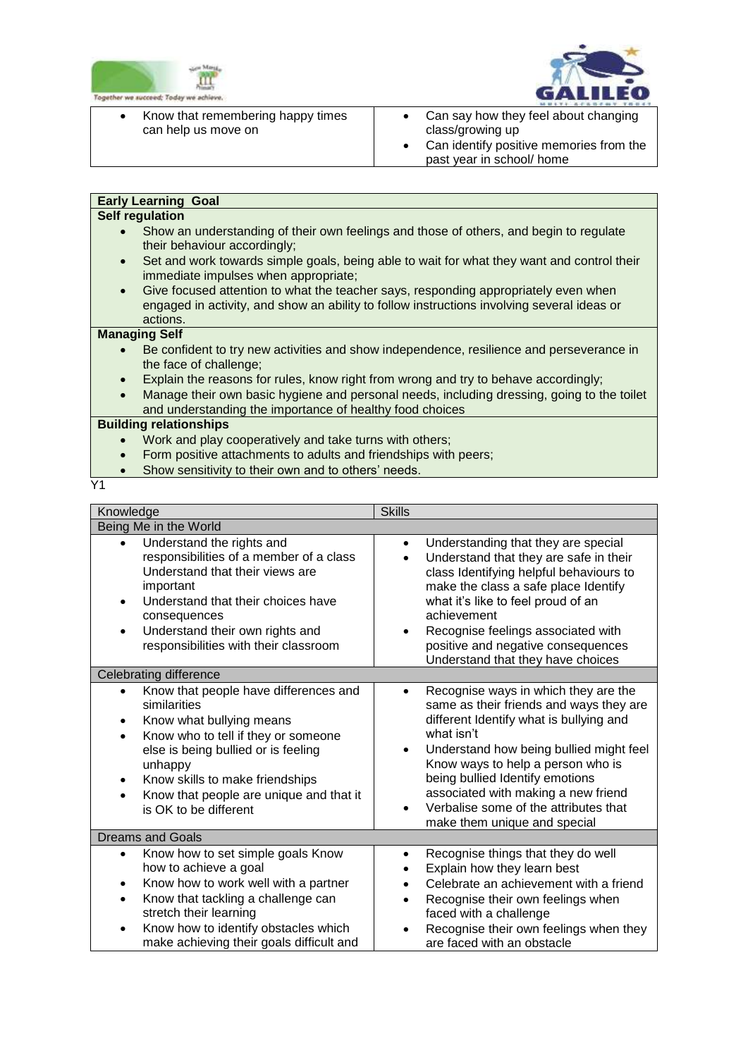



- $\overline{a}$ • Know that remembering happy times can help us move on • Can say how they feel about changing
	- class/growing up Can identify positive memories from the past year in school/ home

# **Early Learning Goal**

# **Self regulation**

- Show an understanding of their own feelings and those of others, and begin to regulate their behaviour accordingly;
- Set and work towards simple goals, being able to wait for what they want and control their immediate impulses when appropriate;
- Give focused attention to what the teacher says, responding appropriately even when engaged in activity, and show an ability to follow instructions involving several ideas or actions.

#### **Managing Self**

- Be confident to try new activities and show independence, resilience and perseverance in the face of challenge;
- Explain the reasons for rules, know right from wrong and try to behave accordingly;
- Manage their own basic hygiene and personal needs, including dressing, going to the toilet and understanding the importance of healthy food choices

## **Building relationships**

- Work and play cooperatively and take turns with others;
- Form positive attachments to adults and friendships with peers;
- Show sensitivity to their own and to others' needs.

Y1

| Knowledge                                                                                                                                                                                                                                                                                                | <b>Skills</b>                                                                                                                                                                                                                                                                                                                                                                                         |  |
|----------------------------------------------------------------------------------------------------------------------------------------------------------------------------------------------------------------------------------------------------------------------------------------------------------|-------------------------------------------------------------------------------------------------------------------------------------------------------------------------------------------------------------------------------------------------------------------------------------------------------------------------------------------------------------------------------------------------------|--|
| Being Me in the World                                                                                                                                                                                                                                                                                    |                                                                                                                                                                                                                                                                                                                                                                                                       |  |
| Understand the rights and<br>$\bullet$<br>responsibilities of a member of a class<br>Understand that their views are<br>important<br>Understand that their choices have<br>consequences<br>Understand their own rights and<br>responsibilities with their classroom                                      | Understanding that they are special<br>$\bullet$<br>Understand that they are safe in their<br>$\bullet$<br>class Identifying helpful behaviours to<br>make the class a safe place Identify<br>what it's like to feel proud of an<br>achievement<br>Recognise feelings associated with<br>positive and negative consequences<br>Understand that they have choices                                      |  |
| Celebrating difference                                                                                                                                                                                                                                                                                   |                                                                                                                                                                                                                                                                                                                                                                                                       |  |
| Know that people have differences and<br>$\bullet$<br>similarities<br>Know what bullying means<br>٠<br>Know who to tell if they or someone<br>else is being bullied or is feeling<br>unhappy<br>Know skills to make friendships<br>٠<br>Know that people are unique and that it<br>is OK to be different | Recognise ways in which they are the<br>$\bullet$<br>same as their friends and ways they are<br>different Identify what is bullying and<br>what isn't<br>Understand how being bullied might feel<br>$\bullet$<br>Know ways to help a person who is<br>being bullied Identify emotions<br>associated with making a new friend<br>Verbalise some of the attributes that<br>make them unique and special |  |
| <b>Dreams and Goals</b>                                                                                                                                                                                                                                                                                  |                                                                                                                                                                                                                                                                                                                                                                                                       |  |
| Know how to set simple goals Know<br>٠<br>how to achieve a goal<br>Know how to work well with a partner<br>٠<br>Know that tackling a challenge can<br>stretch their learning<br>Know how to identify obstacles which<br>$\bullet$<br>make achieving their goals difficult and                            | Recognise things that they do well<br>$\bullet$<br>Explain how they learn best<br>Celebrate an achievement with a friend<br>$\bullet$<br>Recognise their own feelings when<br>faced with a challenge<br>Recognise their own feelings when they<br>are faced with an obstacle                                                                                                                          |  |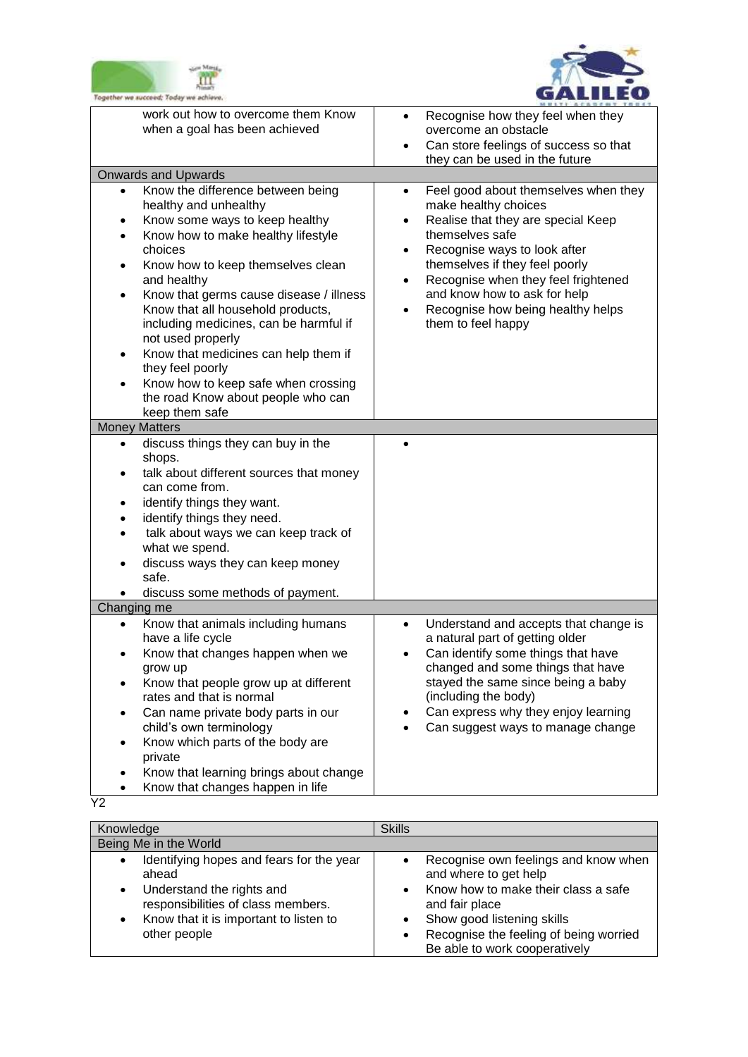



| logether we succeed; Today we achiev                                                                                                                                                                                                                                                                                                                                                                                                                                                                                                               |                                                                                                                                                                                                                                                                                                                                                                                            |
|----------------------------------------------------------------------------------------------------------------------------------------------------------------------------------------------------------------------------------------------------------------------------------------------------------------------------------------------------------------------------------------------------------------------------------------------------------------------------------------------------------------------------------------------------|--------------------------------------------------------------------------------------------------------------------------------------------------------------------------------------------------------------------------------------------------------------------------------------------------------------------------------------------------------------------------------------------|
| work out how to overcome them Know<br>when a goal has been achieved                                                                                                                                                                                                                                                                                                                                                                                                                                                                                | Recognise how they feel when they<br>overcome an obstacle<br>Can store feelings of success so that<br>$\bullet$<br>they can be used in the future                                                                                                                                                                                                                                          |
| <b>Onwards and Upwards</b>                                                                                                                                                                                                                                                                                                                                                                                                                                                                                                                         |                                                                                                                                                                                                                                                                                                                                                                                            |
| Know the difference between being<br>$\bullet$<br>healthy and unhealthy<br>Know some ways to keep healthy<br>Know how to make healthy lifestyle<br>choices<br>Know how to keep themselves clean<br>$\bullet$<br>and healthy<br>Know that germs cause disease / illness<br>$\bullet$<br>Know that all household products,<br>including medicines, can be harmful if<br>not used properly<br>Know that medicines can help them if<br>they feel poorly<br>Know how to keep safe when crossing<br>the road Know about people who can<br>keep them safe | Feel good about themselves when they<br>$\bullet$<br>make healthy choices<br>Realise that they are special Keep<br>$\bullet$<br>themselves safe<br>Recognise ways to look after<br>$\bullet$<br>themselves if they feel poorly<br>Recognise when they feel frightened<br>$\bullet$<br>and know how to ask for help<br>Recognise how being healthy helps<br>$\bullet$<br>them to feel happy |
| <b>Money Matters</b>                                                                                                                                                                                                                                                                                                                                                                                                                                                                                                                               |                                                                                                                                                                                                                                                                                                                                                                                            |
| discuss things they can buy in the<br>٠<br>shops.<br>talk about different sources that money<br>can come from.<br>identify things they want.<br>identify things they need.<br>talk about ways we can keep track of<br>what we spend.<br>discuss ways they can keep money<br>safe.<br>discuss some methods of payment.                                                                                                                                                                                                                              |                                                                                                                                                                                                                                                                                                                                                                                            |
| Changing me                                                                                                                                                                                                                                                                                                                                                                                                                                                                                                                                        |                                                                                                                                                                                                                                                                                                                                                                                            |
| Know that animals including humans<br>have a life cycle<br>Know that changes happen when we<br>grow up<br>Know that people grow up at different<br>rates and that is normal<br>Can name private body parts in our<br>child's own terminology<br>Know which parts of the body are<br>private<br>Know that learning brings about change<br>Know that changes happen in life                                                                                                                                                                          | Understand and accepts that change is<br>$\bullet$<br>a natural part of getting older<br>Can identify some things that have<br>changed and some things that have<br>stayed the same since being a baby<br>(including the body)<br>Can express why they enjoy learning<br>Can suggest ways to manage change                                                                                 |

 $\overline{Y2}$ 

| Knowledge                                                                                                                                                                                                             | <b>Skills</b>                                                                                                                                                                                                                                             |
|-----------------------------------------------------------------------------------------------------------------------------------------------------------------------------------------------------------------------|-----------------------------------------------------------------------------------------------------------------------------------------------------------------------------------------------------------------------------------------------------------|
| Being Me in the World                                                                                                                                                                                                 |                                                                                                                                                                                                                                                           |
| Identifying hopes and fears for the year<br>$\bullet$<br>ahead<br>Understand the rights and<br>$\bullet$<br>responsibilities of class members.<br>Know that it is important to listen to<br>$\bullet$<br>other people | Recognise own feelings and know when<br>and where to get help<br>Know how to make their class a safe<br>$\bullet$<br>and fair place<br>Show good listening skills<br>Recognise the feeling of being worried<br>$\bullet$<br>Be able to work cooperatively |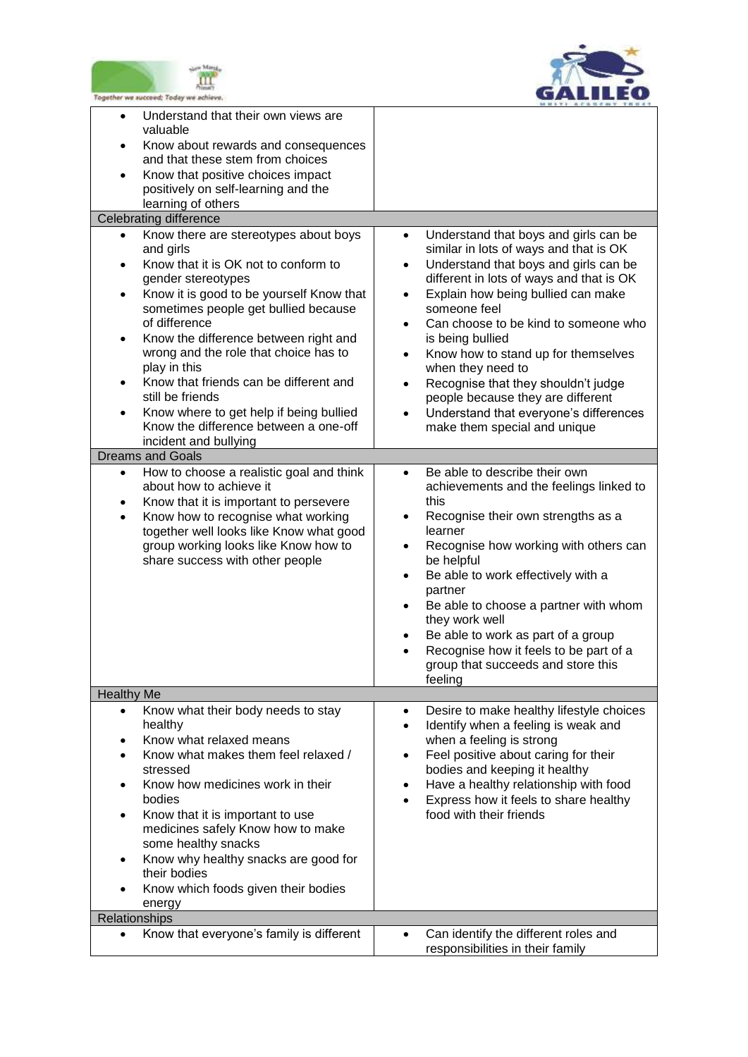



| Together we succeed; Today we achieve                                                                                                                                                                                                                                                                                                                                                                                                                                                            |                                                                                                                                                                                                                                                                                                                                                                                                                                                                                                                                       |
|--------------------------------------------------------------------------------------------------------------------------------------------------------------------------------------------------------------------------------------------------------------------------------------------------------------------------------------------------------------------------------------------------------------------------------------------------------------------------------------------------|---------------------------------------------------------------------------------------------------------------------------------------------------------------------------------------------------------------------------------------------------------------------------------------------------------------------------------------------------------------------------------------------------------------------------------------------------------------------------------------------------------------------------------------|
| Understand that their own views are<br>$\bullet$<br>valuable<br>Know about rewards and consequences<br>$\bullet$<br>and that these stem from choices<br>Know that positive choices impact<br>$\bullet$<br>positively on self-learning and the<br>learning of others<br><b>Celebrating difference</b>                                                                                                                                                                                             |                                                                                                                                                                                                                                                                                                                                                                                                                                                                                                                                       |
| Know there are stereotypes about boys<br>$\bullet$                                                                                                                                                                                                                                                                                                                                                                                                                                               | Understand that boys and girls can be<br>$\bullet$                                                                                                                                                                                                                                                                                                                                                                                                                                                                                    |
| and girls<br>Know that it is OK not to conform to<br>$\bullet$<br>gender stereotypes<br>Know it is good to be yourself Know that<br>$\bullet$<br>sometimes people get bullied because<br>of difference<br>Know the difference between right and<br>wrong and the role that choice has to<br>play in this<br>Know that friends can be different and<br>still be friends<br>Know where to get help if being bullied<br>$\bullet$<br>Know the difference between a one-off<br>incident and bullying | similar in lots of ways and that is OK<br>Understand that boys and girls can be<br>$\bullet$<br>different in lots of ways and that is OK<br>Explain how being bullied can make<br>$\bullet$<br>someone feel<br>Can choose to be kind to someone who<br>$\bullet$<br>is being bullied<br>Know how to stand up for themselves<br>٠<br>when they need to<br>Recognise that they shouldn't judge<br>$\bullet$<br>people because they are different<br>Understand that everyone's differences<br>$\bullet$<br>make them special and unique |
| <b>Dreams and Goals</b>                                                                                                                                                                                                                                                                                                                                                                                                                                                                          |                                                                                                                                                                                                                                                                                                                                                                                                                                                                                                                                       |
| How to choose a realistic goal and think<br>$\bullet$<br>about how to achieve it<br>Know that it is important to persevere<br>Know how to recognise what working<br>$\bullet$<br>together well looks like Know what good<br>group working looks like Know how to<br>share success with other people                                                                                                                                                                                              | Be able to describe their own<br>$\bullet$<br>achievements and the feelings linked to<br>this<br>Recognise their own strengths as a<br>$\bullet$<br>learner<br>Recognise how working with others can<br>$\bullet$<br>be helpful<br>Be able to work effectively with a<br>$\bullet$<br>partner<br>Be able to choose a partner with whom<br>$\bullet$<br>they work well<br>Be able to work as part of a group<br>Recognise how it feels to be part of a<br>group that succeeds and store this<br>feeling                                |
| <b>Healthy Me</b>                                                                                                                                                                                                                                                                                                                                                                                                                                                                                |                                                                                                                                                                                                                                                                                                                                                                                                                                                                                                                                       |
| Know what their body needs to stay<br>$\bullet$<br>healthy<br>Know what relaxed means<br>Know what makes them feel relaxed /<br>$\bullet$<br>stressed<br>Know how medicines work in their<br>$\bullet$<br>bodies<br>Know that it is important to use<br>$\bullet$<br>medicines safely Know how to make<br>some healthy snacks<br>Know why healthy snacks are good for<br>$\bullet$<br>their bodies<br>Know which foods given their bodies<br>energy                                              | Desire to make healthy lifestyle choices<br>$\bullet$<br>Identify when a feeling is weak and<br>$\bullet$<br>when a feeling is strong<br>Feel positive about caring for their<br>$\bullet$<br>bodies and keeping it healthy<br>Have a healthy relationship with food<br>$\bullet$<br>Express how it feels to share healthy<br>food with their friends                                                                                                                                                                                 |
| Relationships                                                                                                                                                                                                                                                                                                                                                                                                                                                                                    |                                                                                                                                                                                                                                                                                                                                                                                                                                                                                                                                       |
| Know that everyone's family is different<br>$\bullet$                                                                                                                                                                                                                                                                                                                                                                                                                                            | Can identify the different roles and<br>responsibilities in their family                                                                                                                                                                                                                                                                                                                                                                                                                                                              |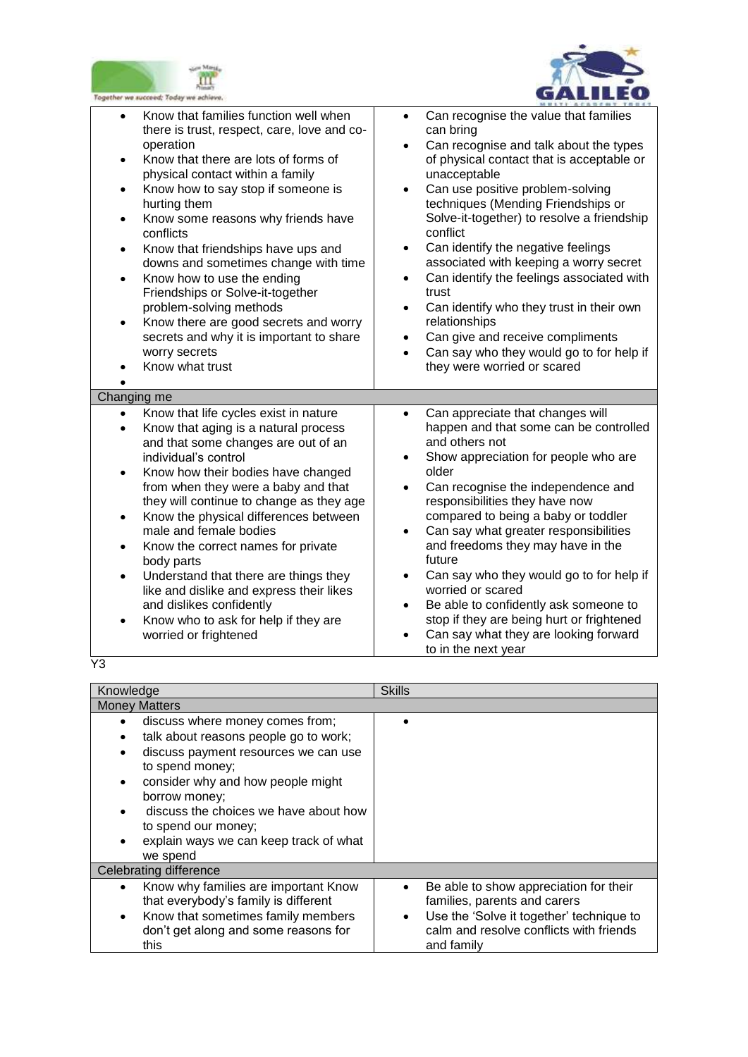



| ogether we succeed; Today we achie                                                                                                                                                                                                                                                                                                                                                                                                                                                                                                                                                                                                                                       |                                                                                                                                                                                                                                                                                                                                                                                                                                                                                                                                                                                                                                                                                                    |
|--------------------------------------------------------------------------------------------------------------------------------------------------------------------------------------------------------------------------------------------------------------------------------------------------------------------------------------------------------------------------------------------------------------------------------------------------------------------------------------------------------------------------------------------------------------------------------------------------------------------------------------------------------------------------|----------------------------------------------------------------------------------------------------------------------------------------------------------------------------------------------------------------------------------------------------------------------------------------------------------------------------------------------------------------------------------------------------------------------------------------------------------------------------------------------------------------------------------------------------------------------------------------------------------------------------------------------------------------------------------------------------|
| Know that families function well when<br>$\bullet$<br>there is trust, respect, care, love and co-<br>operation<br>Know that there are lots of forms of<br>$\bullet$<br>physical contact within a family<br>Know how to say stop if someone is<br>$\bullet$<br>hurting them<br>Know some reasons why friends have<br>$\bullet$<br>conflicts<br>Know that friendships have ups and<br>$\bullet$<br>downs and sometimes change with time<br>Know how to use the ending<br>$\bullet$<br>Friendships or Solve-it-together<br>problem-solving methods<br>Know there are good secrets and worry<br>secrets and why it is important to share<br>worry secrets<br>Know what trust | Can recognise the value that families<br>$\bullet$<br>can bring<br>Can recognise and talk about the types<br>$\bullet$<br>of physical contact that is acceptable or<br>unacceptable<br>Can use positive problem-solving<br>$\bullet$<br>techniques (Mending Friendships or<br>Solve-it-together) to resolve a friendship<br>conflict<br>Can identify the negative feelings<br>$\bullet$<br>associated with keeping a worry secret<br>Can identify the feelings associated with<br>$\bullet$<br>trust<br>Can identify who they trust in their own<br>$\bullet$<br>relationships<br>Can give and receive compliments<br>٠<br>Can say who they would go to for help if<br>they were worried or scared |
| Changing me                                                                                                                                                                                                                                                                                                                                                                                                                                                                                                                                                                                                                                                              |                                                                                                                                                                                                                                                                                                                                                                                                                                                                                                                                                                                                                                                                                                    |
| Know that life cycles exist in nature<br>$\bullet$<br>Know that aging is a natural process<br>and that some changes are out of an<br>individual's control<br>Know how their bodies have changed<br>$\bullet$<br>from when they were a baby and that<br>they will continue to change as they age<br>Know the physical differences between<br>$\bullet$<br>male and female bodies<br>Know the correct names for private<br>$\bullet$<br>body parts<br>Understand that there are things they<br>$\bullet$<br>like and dislike and express their likes<br>and dislikes confidently<br>Know who to ask for help if they are<br>worried or frightened                          | Can appreciate that changes will<br>$\bullet$<br>happen and that some can be controlled<br>and others not<br>Show appreciation for people who are<br>older<br>Can recognise the independence and<br>responsibilities they have now<br>compared to being a baby or toddler<br>Can say what greater responsibilities<br>and freedoms they may have in the<br>future<br>Can say who they would go to for help if<br>worried or scared<br>Be able to confidently ask someone to<br>$\bullet$<br>stop if they are being hurt or frightened<br>Can say what they are looking forward<br>to in the next year                                                                                              |

Y3

| Knowledge                                                                                                                                                                                                                                                                                                       | <b>Skills</b>                                                                                                                                                                                         |  |
|-----------------------------------------------------------------------------------------------------------------------------------------------------------------------------------------------------------------------------------------------------------------------------------------------------------------|-------------------------------------------------------------------------------------------------------------------------------------------------------------------------------------------------------|--|
| <b>Money Matters</b>                                                                                                                                                                                                                                                                                            |                                                                                                                                                                                                       |  |
| discuss where money comes from;<br>talk about reasons people go to work;<br>discuss payment resources we can use<br>to spend money;<br>consider why and how people might<br>borrow money;<br>discuss the choices we have about how<br>to spend our money;<br>explain ways we can keep track of what<br>we spend |                                                                                                                                                                                                       |  |
| Celebrating difference                                                                                                                                                                                                                                                                                          |                                                                                                                                                                                                       |  |
| Know why families are important Know<br>that everybody's family is different<br>Know that sometimes family members<br>don't get along and some reasons for<br>this                                                                                                                                              | Be able to show appreciation for their<br>$\bullet$<br>families, parents and carers<br>Use the 'Solve it together' technique to<br>$\bullet$<br>calm and resolve conflicts with friends<br>and family |  |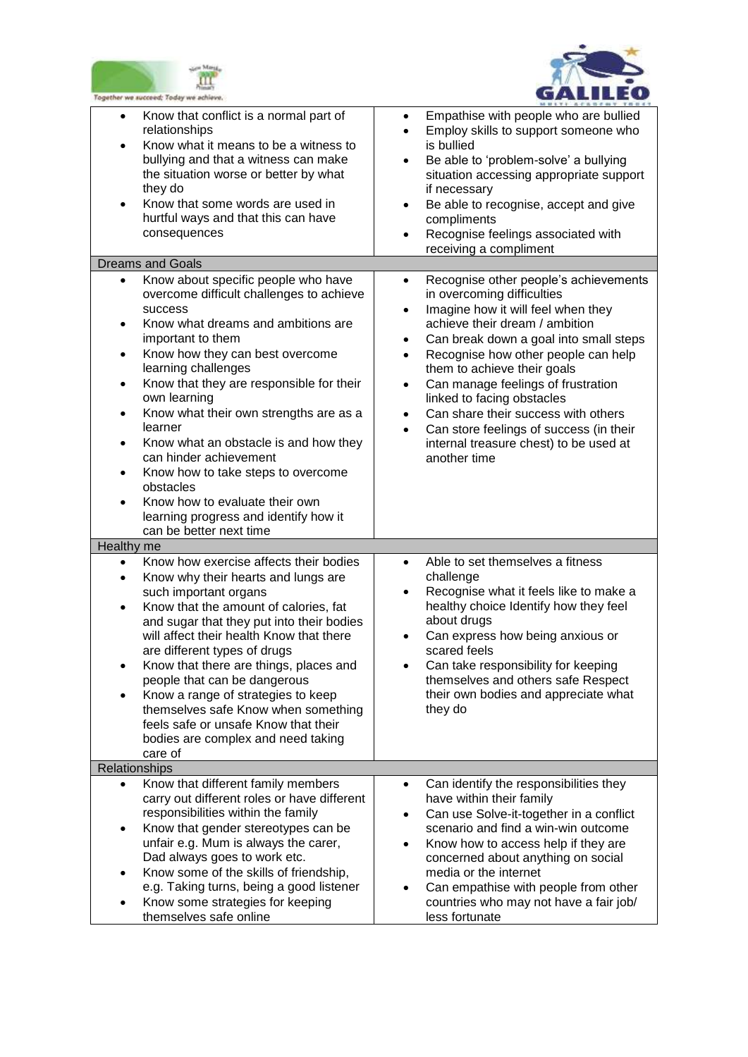



| Together we succeed; Today we achieve                                                                                                                                                                                                                                                                                                                                                                                                                                                                                                                                                                                         |                                                                                                                                                                                                                                                                                                                                                                                                                                                                                                                                           |
|-------------------------------------------------------------------------------------------------------------------------------------------------------------------------------------------------------------------------------------------------------------------------------------------------------------------------------------------------------------------------------------------------------------------------------------------------------------------------------------------------------------------------------------------------------------------------------------------------------------------------------|-------------------------------------------------------------------------------------------------------------------------------------------------------------------------------------------------------------------------------------------------------------------------------------------------------------------------------------------------------------------------------------------------------------------------------------------------------------------------------------------------------------------------------------------|
| Know that conflict is a normal part of<br>$\bullet$<br>relationships<br>Know what it means to be a witness to<br>$\bullet$<br>bullying and that a witness can make<br>the situation worse or better by what<br>they do<br>Know that some words are used in<br>$\bullet$<br>hurtful ways and that this can have<br>consequences                                                                                                                                                                                                                                                                                                | Empathise with people who are bullied<br>$\bullet$<br>Employ skills to support someone who<br>$\bullet$<br>is bullied<br>Be able to 'problem-solve' a bullying<br>$\bullet$<br>situation accessing appropriate support<br>if necessary<br>Be able to recognise, accept and give<br>$\bullet$<br>compliments<br>Recognise feelings associated with<br>$\bullet$<br>receiving a compliment                                                                                                                                                  |
| <b>Dreams and Goals</b>                                                                                                                                                                                                                                                                                                                                                                                                                                                                                                                                                                                                       |                                                                                                                                                                                                                                                                                                                                                                                                                                                                                                                                           |
| Know about specific people who have<br>$\bullet$<br>overcome difficult challenges to achieve<br>success<br>Know what dreams and ambitions are<br>$\bullet$<br>important to them<br>Know how they can best overcome<br>$\bullet$<br>learning challenges<br>Know that they are responsible for their<br>$\bullet$<br>own learning<br>Know what their own strengths are as a<br>learner<br>Know what an obstacle is and how they<br>$\bullet$<br>can hinder achievement<br>Know how to take steps to overcome<br>obstacles<br>Know how to evaluate their own<br>learning progress and identify how it<br>can be better next time | Recognise other people's achievements<br>$\bullet$<br>in overcoming difficulties<br>Imagine how it will feel when they<br>$\bullet$<br>achieve their dream / ambition<br>Can break down a goal into small steps<br>٠<br>Recognise how other people can help<br>$\bullet$<br>them to achieve their goals<br>Can manage feelings of frustration<br>٠<br>linked to facing obstacles<br>Can share their success with others<br>$\bullet$<br>Can store feelings of success (in their<br>internal treasure chest) to be used at<br>another time |
| Healthy me                                                                                                                                                                                                                                                                                                                                                                                                                                                                                                                                                                                                                    |                                                                                                                                                                                                                                                                                                                                                                                                                                                                                                                                           |
| Know how exercise affects their bodies<br>$\bullet$<br>Know why their hearts and lungs are<br>$\bullet$<br>such important organs<br>Know that the amount of calories, fat<br>$\bullet$<br>and sugar that they put into their bodies<br>will affect their health Know that there<br>are different types of drugs<br>Know that there are things, places and<br>people that can be dangerous<br>Know a range of strategies to keep<br>$\bullet$<br>themselves safe Know when something<br>feels safe or unsafe Know that their<br>bodies are complex and need taking<br>care of                                                  | Able to set themselves a fitness<br>$\bullet$<br>challenge<br>Recognise what it feels like to make a<br>$\bullet$<br>healthy choice Identify how they feel<br>about drugs<br>Can express how being anxious or<br>scared feels<br>Can take responsibility for keeping<br>themselves and others safe Respect<br>their own bodies and appreciate what<br>they do                                                                                                                                                                             |
| Relationships                                                                                                                                                                                                                                                                                                                                                                                                                                                                                                                                                                                                                 |                                                                                                                                                                                                                                                                                                                                                                                                                                                                                                                                           |
| Know that different family members<br>$\bullet$<br>carry out different roles or have different<br>responsibilities within the family<br>Know that gender stereotypes can be<br>$\bullet$<br>unfair e.g. Mum is always the carer,<br>Dad always goes to work etc.<br>Know some of the skills of friendship,<br>e.g. Taking turns, being a good listener<br>Know some strategies for keeping<br>themselves safe online                                                                                                                                                                                                          | Can identify the responsibilities they<br>$\bullet$<br>have within their family<br>Can use Solve-it-together in a conflict<br>$\bullet$<br>scenario and find a win-win outcome<br>Know how to access help if they are<br>$\bullet$<br>concerned about anything on social<br>media or the internet<br>Can empathise with people from other<br>countries who may not have a fair job/<br>less fortunate                                                                                                                                     |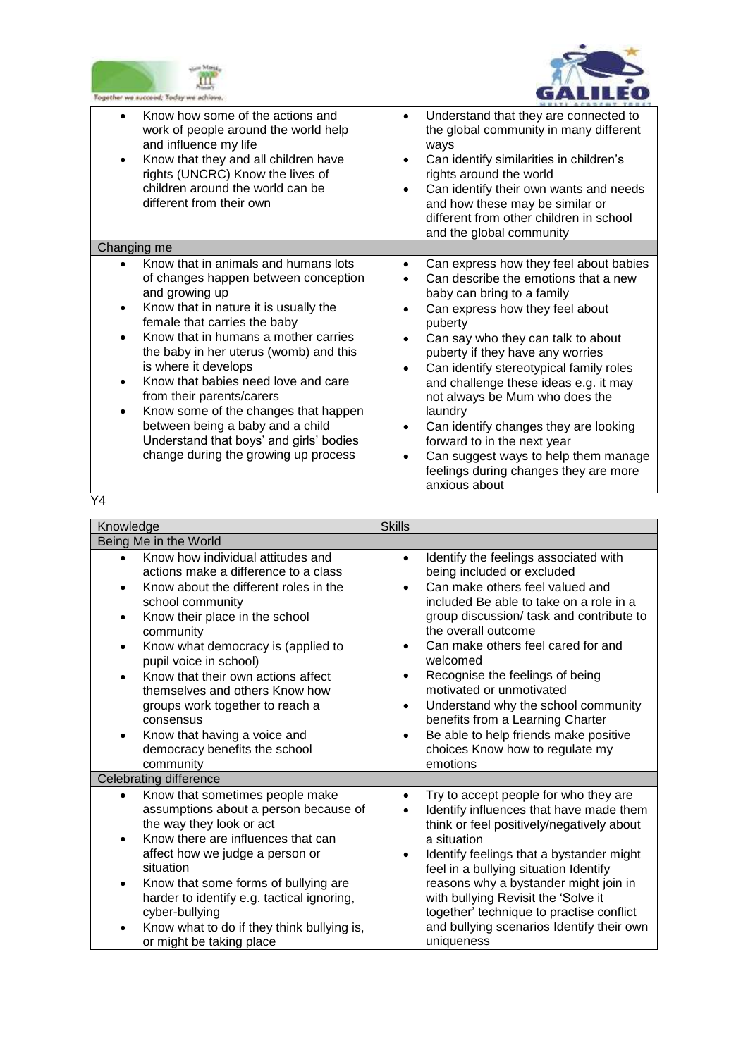



| logether we succeed; Today we achieve                                                                                                                                                                                                                                                                                                                                                                                                                                                                                                                       |                                                                                                                                                                                                                                                                                                                                                                                                                                                                                                                                                                                    |
|-------------------------------------------------------------------------------------------------------------------------------------------------------------------------------------------------------------------------------------------------------------------------------------------------------------------------------------------------------------------------------------------------------------------------------------------------------------------------------------------------------------------------------------------------------------|------------------------------------------------------------------------------------------------------------------------------------------------------------------------------------------------------------------------------------------------------------------------------------------------------------------------------------------------------------------------------------------------------------------------------------------------------------------------------------------------------------------------------------------------------------------------------------|
| Know how some of the actions and<br>work of people around the world help<br>and influence my life<br>Know that they and all children have<br>$\bullet$<br>rights (UNCRC) Know the lives of<br>children around the world can be<br>different from their own                                                                                                                                                                                                                                                                                                  | Understand that they are connected to<br>$\bullet$<br>the global community in many different<br>ways<br>Can identify similarities in children's<br>$\bullet$<br>rights around the world<br>Can identify their own wants and needs<br>and how these may be similar or<br>different from other children in school<br>and the global community                                                                                                                                                                                                                                        |
| Changing me                                                                                                                                                                                                                                                                                                                                                                                                                                                                                                                                                 |                                                                                                                                                                                                                                                                                                                                                                                                                                                                                                                                                                                    |
| Know that in animals and humans lots<br>of changes happen between conception<br>and growing up<br>Know that in nature it is usually the<br>$\bullet$<br>female that carries the baby<br>Know that in humans a mother carries<br>$\bullet$<br>the baby in her uterus (womb) and this<br>is where it develops<br>Know that babies need love and care<br>from their parents/carers<br>Know some of the changes that happen<br>$\bullet$<br>between being a baby and a child<br>Understand that boys' and girls' bodies<br>change during the growing up process | Can express how they feel about babies<br>$\bullet$<br>Can describe the emotions that a new<br>baby can bring to a family<br>Can express how they feel about<br>puberty<br>Can say who they can talk to about<br>$\bullet$<br>puberty if they have any worries<br>Can identify stereotypical family roles<br>$\bullet$<br>and challenge these ideas e.g. it may<br>not always be Mum who does the<br>laundry<br>Can identify changes they are looking<br>$\bullet$<br>forward to in the next year<br>Can suggest ways to help them manage<br>feelings during changes they are more |

anxious about

Y4

| Knowledge                                                                                                                                                                                                                                                                                                                                                                                                                                                                          | <b>Skills</b>                                                                                                                                                                                                                                                                                                                                                                                                                                                                                                                                                             |
|------------------------------------------------------------------------------------------------------------------------------------------------------------------------------------------------------------------------------------------------------------------------------------------------------------------------------------------------------------------------------------------------------------------------------------------------------------------------------------|---------------------------------------------------------------------------------------------------------------------------------------------------------------------------------------------------------------------------------------------------------------------------------------------------------------------------------------------------------------------------------------------------------------------------------------------------------------------------------------------------------------------------------------------------------------------------|
| Being Me in the World                                                                                                                                                                                                                                                                                                                                                                                                                                                              |                                                                                                                                                                                                                                                                                                                                                                                                                                                                                                                                                                           |
| Know how individual attitudes and<br>actions make a difference to a class<br>Know about the different roles in the<br>$\bullet$<br>school community<br>Know their place in the school<br>٠<br>community<br>Know what democracy is (applied to<br>٠<br>pupil voice in school)<br>Know that their own actions affect<br>themselves and others Know how<br>groups work together to reach a<br>consensus<br>Know that having a voice and<br>democracy benefits the school<br>community | Identify the feelings associated with<br>$\bullet$<br>being included or excluded<br>Can make others feel valued and<br>$\bullet$<br>included Be able to take on a role in a<br>group discussion/ task and contribute to<br>the overall outcome<br>Can make others feel cared for and<br>$\bullet$<br>welcomed<br>Recognise the feelings of being<br>$\bullet$<br>motivated or unmotivated<br>Understand why the school community<br>$\bullet$<br>benefits from a Learning Charter<br>Be able to help friends make positive<br>choices Know how to regulate my<br>emotions |
| <b>Celebrating difference</b>                                                                                                                                                                                                                                                                                                                                                                                                                                                      |                                                                                                                                                                                                                                                                                                                                                                                                                                                                                                                                                                           |
| Know that sometimes people make<br>assumptions about a person because of<br>the way they look or act<br>Know there are influences that can<br>affect how we judge a person or<br>situation<br>Know that some forms of bullying are<br>harder to identify e.g. tactical ignoring,<br>cyber-bullying<br>Know what to do if they think bullying is,<br>or might be taking place                                                                                                       | Try to accept people for who they are<br>٠<br>Identify influences that have made them<br>think or feel positively/negatively about<br>a situation<br>Identify feelings that a bystander might<br>٠<br>feel in a bullying situation Identify<br>reasons why a bystander might join in<br>with bullying Revisit the 'Solve it<br>together' technique to practise conflict<br>and bullying scenarios Identify their own<br>uniqueness                                                                                                                                        |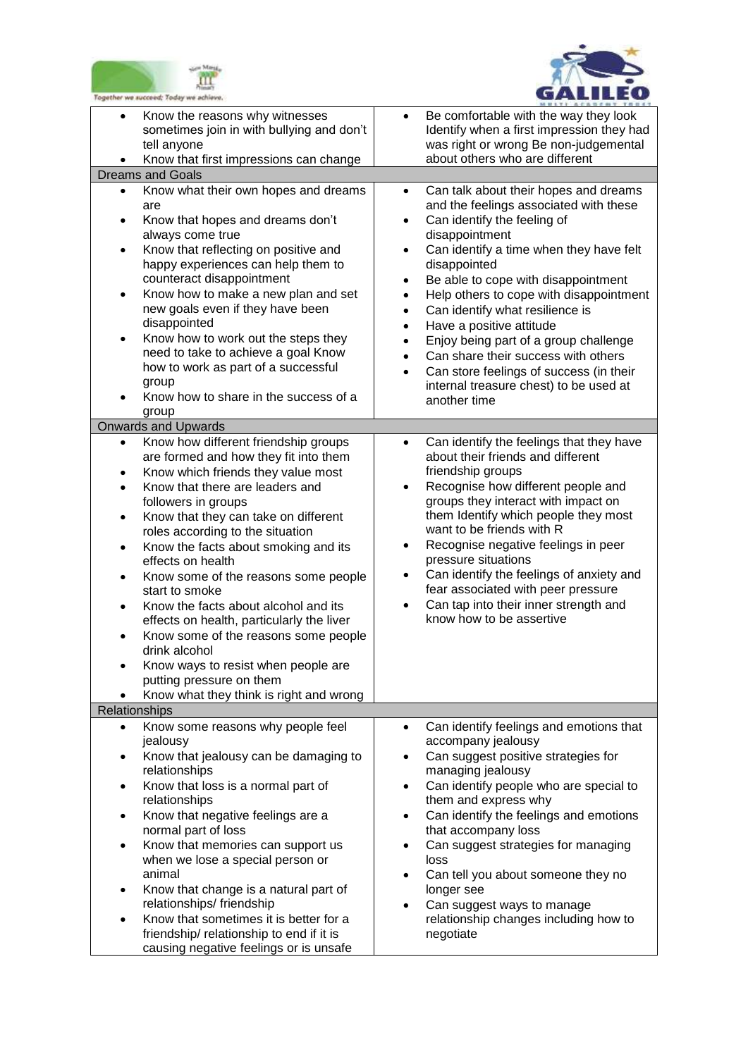



| Together we succeed; Today we achieve                                                                                                                                                                                                                                                                                                                                                                                                                                                                                                                                                                                                                                                                                           |                                                                                                                                                                                                                                                                                                                                                                                                                                                                                                                                                                                                                                                                     |
|---------------------------------------------------------------------------------------------------------------------------------------------------------------------------------------------------------------------------------------------------------------------------------------------------------------------------------------------------------------------------------------------------------------------------------------------------------------------------------------------------------------------------------------------------------------------------------------------------------------------------------------------------------------------------------------------------------------------------------|---------------------------------------------------------------------------------------------------------------------------------------------------------------------------------------------------------------------------------------------------------------------------------------------------------------------------------------------------------------------------------------------------------------------------------------------------------------------------------------------------------------------------------------------------------------------------------------------------------------------------------------------------------------------|
| Know the reasons why witnesses<br>$\bullet$<br>sometimes join in with bullying and don't<br>tell anyone<br>Know that first impressions can change                                                                                                                                                                                                                                                                                                                                                                                                                                                                                                                                                                               | Be comfortable with the way they look<br>$\bullet$<br>Identify when a first impression they had<br>was right or wrong Be non-judgemental<br>about others who are different                                                                                                                                                                                                                                                                                                                                                                                                                                                                                          |
| <b>Dreams and Goals</b>                                                                                                                                                                                                                                                                                                                                                                                                                                                                                                                                                                                                                                                                                                         |                                                                                                                                                                                                                                                                                                                                                                                                                                                                                                                                                                                                                                                                     |
| Know what their own hopes and dreams<br>$\bullet$<br>are<br>Know that hopes and dreams don't<br>$\bullet$<br>always come true<br>Know that reflecting on positive and<br>$\bullet$<br>happy experiences can help them to<br>counteract disappointment<br>Know how to make a new plan and set<br>$\bullet$<br>new goals even if they have been<br>disappointed<br>Know how to work out the steps they<br>٠<br>need to take to achieve a goal Know<br>how to work as part of a successful<br>group<br>Know how to share in the success of a<br>group                                                                                                                                                                              | Can talk about their hopes and dreams<br>$\bullet$<br>and the feelings associated with these<br>Can identify the feeling of<br>$\bullet$<br>disappointment<br>Can identify a time when they have felt<br>$\bullet$<br>disappointed<br>Be able to cope with disappointment<br>$\bullet$<br>Help others to cope with disappointment<br>$\bullet$<br>Can identify what resilience is<br>$\bullet$<br>Have a positive attitude<br>$\bullet$<br>Enjoy being part of a group challenge<br>$\bullet$<br>Can share their success with others<br>$\bullet$<br>Can store feelings of success (in their<br>$\bullet$<br>internal treasure chest) to be used at<br>another time |
| <b>Onwards and Upwards</b>                                                                                                                                                                                                                                                                                                                                                                                                                                                                                                                                                                                                                                                                                                      |                                                                                                                                                                                                                                                                                                                                                                                                                                                                                                                                                                                                                                                                     |
| Know how different friendship groups<br>$\bullet$<br>are formed and how they fit into them<br>Know which friends they value most<br>$\bullet$<br>Know that there are leaders and<br>$\bullet$<br>followers in groups<br>Know that they can take on different<br>$\bullet$<br>roles according to the situation<br>Know the facts about smoking and its<br>$\bullet$<br>effects on health<br>Know some of the reasons some people<br>$\bullet$<br>start to smoke<br>Know the facts about alcohol and its<br>effects on health, particularly the liver<br>Know some of the reasons some people<br>drink alcohol<br>Know ways to resist when people are<br>٠<br>putting pressure on them<br>Know what they think is right and wrong | Can identify the feelings that they have<br>$\bullet$<br>about their friends and different<br>friendship groups<br>Recognise how different people and<br>$\bullet$<br>groups they interact with impact on<br>them Identify which people they most<br>want to be friends with R<br>Recognise negative feelings in peer<br>$\bullet$<br>pressure situations<br>Can identify the feelings of anxiety and<br>$\bullet$<br>fear associated with peer pressure<br>Can tap into their inner strength and<br>$\bullet$<br>know how to be assertive                                                                                                                          |
| Relationships                                                                                                                                                                                                                                                                                                                                                                                                                                                                                                                                                                                                                                                                                                                   |                                                                                                                                                                                                                                                                                                                                                                                                                                                                                                                                                                                                                                                                     |
| Know some reasons why people feel<br>$\bullet$<br>jealousy<br>Know that jealousy can be damaging to<br>$\bullet$<br>relationships<br>Know that loss is a normal part of<br>$\bullet$<br>relationships<br>Know that negative feelings are a<br>$\bullet$<br>normal part of loss<br>Know that memories can support us<br>$\bullet$<br>when we lose a special person or<br>animal<br>Know that change is a natural part of<br>٠<br>relationships/friendship<br>Know that sometimes it is better for a<br>$\bullet$<br>friendship/relationship to end if it is                                                                                                                                                                      | Can identify feelings and emotions that<br>$\bullet$<br>accompany jealousy<br>Can suggest positive strategies for<br>$\bullet$<br>managing jealousy<br>Can identify people who are special to<br>$\bullet$<br>them and express why<br>Can identify the feelings and emotions<br>$\bullet$<br>that accompany loss<br>Can suggest strategies for managing<br>loss<br>Can tell you about someone they no<br>$\bullet$<br>longer see<br>Can suggest ways to manage<br>$\bullet$<br>relationship changes including how to<br>negotiate                                                                                                                                   |
| causing negative feelings or is unsafe                                                                                                                                                                                                                                                                                                                                                                                                                                                                                                                                                                                                                                                                                          |                                                                                                                                                                                                                                                                                                                                                                                                                                                                                                                                                                                                                                                                     |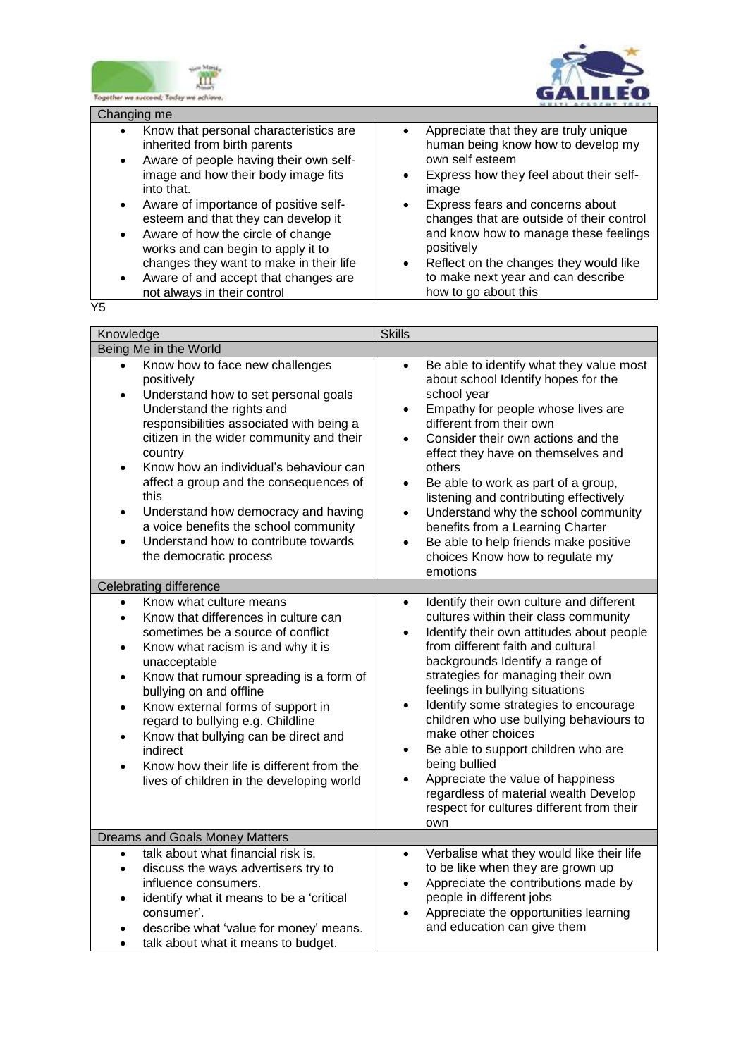



Changing me

- Know that personal characteristics are inherited from birth parents Aware of people having their own self-
- image and how their body image fits into that.
- Aware of importance of positive selfesteem and that they can develop it
- Aware of how the circle of change works and can begin to apply it to changes they want to make in their life
- Aware of and accept that changes are not always in their control

 Appreciate that they are truly unique human being know how to develop my own self esteem

- Express how they feel about their selfimage
- Express fears and concerns about changes that are outside of their control and know how to manage these feelings positively
- Reflect on the changes they would like to make next year and can describe how to go about this

Y5

| Knowledge                                                                                                                                                                                                                                                                                                                                                                                                                                                                                                                                          | <b>Skills</b>                                                                                                                                                                                                                                                                                                                                                                                                                                                                                                                                                                                                                                       |
|----------------------------------------------------------------------------------------------------------------------------------------------------------------------------------------------------------------------------------------------------------------------------------------------------------------------------------------------------------------------------------------------------------------------------------------------------------------------------------------------------------------------------------------------------|-----------------------------------------------------------------------------------------------------------------------------------------------------------------------------------------------------------------------------------------------------------------------------------------------------------------------------------------------------------------------------------------------------------------------------------------------------------------------------------------------------------------------------------------------------------------------------------------------------------------------------------------------------|
| Being Me in the World                                                                                                                                                                                                                                                                                                                                                                                                                                                                                                                              |                                                                                                                                                                                                                                                                                                                                                                                                                                                                                                                                                                                                                                                     |
| Know how to face new challenges<br>positively<br>Understand how to set personal goals<br>$\bullet$<br>Understand the rights and<br>responsibilities associated with being a<br>citizen in the wider community and their<br>country<br>Know how an individual's behaviour can<br>$\bullet$<br>affect a group and the consequences of<br>this<br>Understand how democracy and having<br>$\bullet$<br>a voice benefits the school community<br>Understand how to contribute towards<br>the democratic process                                         | Be able to identify what they value most<br>$\bullet$<br>about school Identify hopes for the<br>school year<br>Empathy for people whose lives are<br>$\bullet$<br>different from their own<br>Consider their own actions and the<br>$\bullet$<br>effect they have on themselves and<br>others<br>Be able to work as part of a group,<br>$\bullet$<br>listening and contributing effectively<br>Understand why the school community<br>$\bullet$<br>benefits from a Learning Charter<br>Be able to help friends make positive<br>$\bullet$<br>choices Know how to regulate my<br>emotions                                                            |
| <b>Celebrating difference</b>                                                                                                                                                                                                                                                                                                                                                                                                                                                                                                                      |                                                                                                                                                                                                                                                                                                                                                                                                                                                                                                                                                                                                                                                     |
| Know what culture means<br>$\bullet$<br>Know that differences in culture can<br>$\bullet$<br>sometimes be a source of conflict<br>Know what racism is and why it is<br>$\bullet$<br>unacceptable<br>Know that rumour spreading is a form of<br>$\bullet$<br>bullying on and offline<br>Know external forms of support in<br>$\bullet$<br>regard to bullying e.g. Childline<br>Know that bullying can be direct and<br>$\bullet$<br>indirect<br>Know how their life is different from the<br>$\bullet$<br>lives of children in the developing world | Identify their own culture and different<br>$\bullet$<br>cultures within their class community<br>Identify their own attitudes about people<br>$\bullet$<br>from different faith and cultural<br>backgrounds Identify a range of<br>strategies for managing their own<br>feelings in bullying situations<br>Identify some strategies to encourage<br>$\bullet$<br>children who use bullying behaviours to<br>make other choices<br>Be able to support children who are<br>$\bullet$<br>being bullied<br>Appreciate the value of happiness<br>$\bullet$<br>regardless of material wealth Develop<br>respect for cultures different from their<br>own |
| Dreams and Goals Money Matters                                                                                                                                                                                                                                                                                                                                                                                                                                                                                                                     |                                                                                                                                                                                                                                                                                                                                                                                                                                                                                                                                                                                                                                                     |
| talk about what financial risk is.<br>$\bullet$<br>discuss the ways advertisers try to<br>$\bullet$<br>influence consumers.<br>identify what it means to be a 'critical<br>$\bullet$<br>consumer'.<br>describe what 'value for money' means.<br>talk about what it means to budget.                                                                                                                                                                                                                                                                | Verbalise what they would like their life<br>$\bullet$<br>to be like when they are grown up<br>Appreciate the contributions made by<br>$\bullet$<br>people in different jobs<br>Appreciate the opportunities learning<br>$\bullet$<br>and education can give them                                                                                                                                                                                                                                                                                                                                                                                   |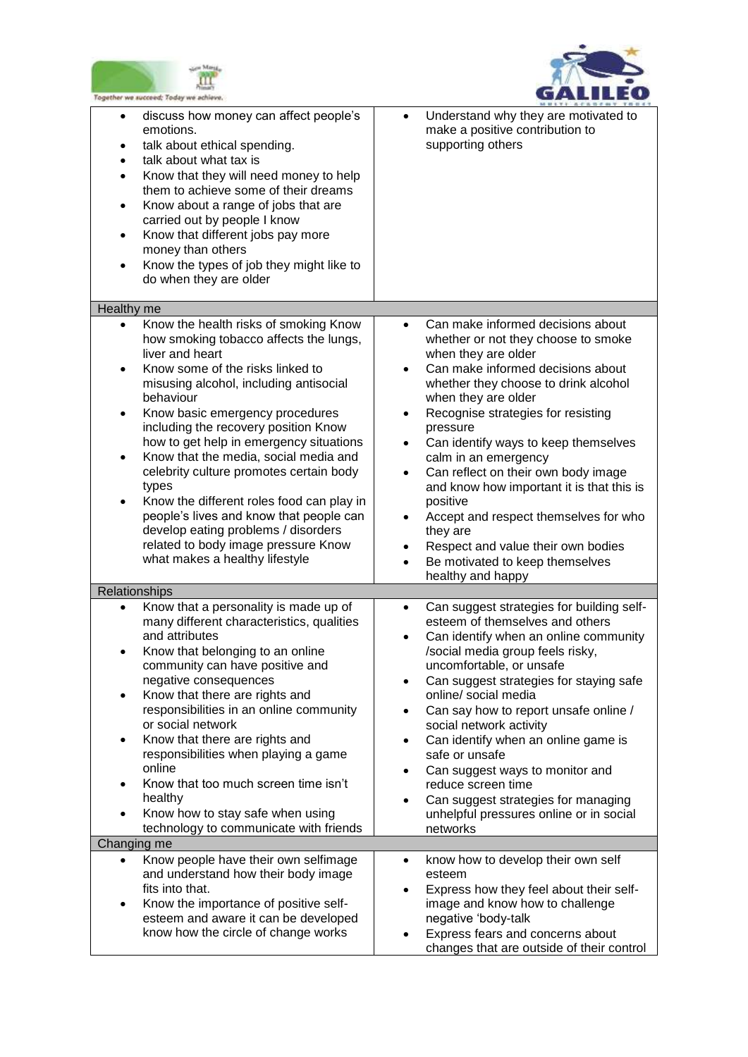



| Together we succeed; Today we achieve.                                                                                                                                                                                                                                                                                                                                                                                                                                                                                                                                                                                                                                            |                                                                                                                                                                                                                                                                                                                                                                                                                                                                                                                                                                                                                                           |
|-----------------------------------------------------------------------------------------------------------------------------------------------------------------------------------------------------------------------------------------------------------------------------------------------------------------------------------------------------------------------------------------------------------------------------------------------------------------------------------------------------------------------------------------------------------------------------------------------------------------------------------------------------------------------------------|-------------------------------------------------------------------------------------------------------------------------------------------------------------------------------------------------------------------------------------------------------------------------------------------------------------------------------------------------------------------------------------------------------------------------------------------------------------------------------------------------------------------------------------------------------------------------------------------------------------------------------------------|
| discuss how money can affect people's<br>$\bullet$<br>emotions.<br>talk about ethical spending.<br>$\bullet$<br>talk about what tax is<br>$\bullet$<br>Know that they will need money to help<br>$\bullet$<br>them to achieve some of their dreams<br>Know about a range of jobs that are<br>$\bullet$<br>carried out by people I know<br>Know that different jobs pay more<br>$\bullet$<br>money than others<br>Know the types of job they might like to<br>$\bullet$<br>do when they are older                                                                                                                                                                                  | Understand why they are motivated to<br>$\bullet$<br>make a positive contribution to<br>supporting others                                                                                                                                                                                                                                                                                                                                                                                                                                                                                                                                 |
| Healthy me                                                                                                                                                                                                                                                                                                                                                                                                                                                                                                                                                                                                                                                                        |                                                                                                                                                                                                                                                                                                                                                                                                                                                                                                                                                                                                                                           |
| Know the health risks of smoking Know<br>$\bullet$<br>how smoking tobacco affects the lungs,<br>liver and heart<br>Know some of the risks linked to<br>$\bullet$<br>misusing alcohol, including antisocial<br>behaviour<br>Know basic emergency procedures<br>٠<br>including the recovery position Know<br>how to get help in emergency situations<br>Know that the media, social media and<br>$\bullet$<br>celebrity culture promotes certain body<br>types<br>Know the different roles food can play in<br>$\bullet$<br>people's lives and know that people can<br>develop eating problems / disorders<br>related to body image pressure Know<br>what makes a healthy lifestyle | Can make informed decisions about<br>$\bullet$<br>whether or not they choose to smoke<br>when they are older<br>Can make informed decisions about<br>whether they choose to drink alcohol<br>when they are older<br>Recognise strategies for resisting<br>pressure<br>Can identify ways to keep themselves<br>$\bullet$<br>calm in an emergency<br>Can reflect on their own body image<br>$\bullet$<br>and know how important it is that this is<br>positive<br>Accept and respect themselves for who<br>$\bullet$<br>they are<br>Respect and value their own bodies<br>Be motivated to keep themselves<br>$\bullet$<br>healthy and happy |
| Relationships                                                                                                                                                                                                                                                                                                                                                                                                                                                                                                                                                                                                                                                                     |                                                                                                                                                                                                                                                                                                                                                                                                                                                                                                                                                                                                                                           |
| Know that a personality is made up of<br>$\bullet$<br>many different characteristics, qualities<br>and attributes<br>Know that belonging to an online<br>٠<br>community can have positive and<br>negative consequences<br>Know that there are rights and<br>$\bullet$<br>responsibilities in an online community<br>or social network<br>Know that there are rights and<br>$\bullet$<br>responsibilities when playing a game<br>online<br>Know that too much screen time isn't<br>$\bullet$<br>healthy<br>Know how to stay safe when using<br>$\bullet$<br>technology to communicate with friends<br>Changing me                                                                  | Can suggest strategies for building self-<br>$\bullet$<br>esteem of themselves and others<br>Can identify when an online community<br>$\bullet$<br>/social media group feels risky,<br>uncomfortable, or unsafe<br>Can suggest strategies for staying safe<br>$\bullet$<br>online/ social media<br>Can say how to report unsafe online /<br>$\bullet$<br>social network activity<br>Can identify when an online game is<br>$\bullet$<br>safe or unsafe<br>Can suggest ways to monitor and<br>$\bullet$<br>reduce screen time<br>Can suggest strategies for managing<br>$\bullet$<br>unhelpful pressures online or in social<br>networks   |
| Know people have their own selfimage<br>$\bullet$                                                                                                                                                                                                                                                                                                                                                                                                                                                                                                                                                                                                                                 | know how to develop their own self<br>$\bullet$                                                                                                                                                                                                                                                                                                                                                                                                                                                                                                                                                                                           |
| and understand how their body image<br>fits into that.<br>Know the importance of positive self-<br>٠<br>esteem and aware it can be developed<br>know how the circle of change works                                                                                                                                                                                                                                                                                                                                                                                                                                                                                               | esteem<br>Express how they feel about their self-<br>$\bullet$<br>image and know how to challenge<br>negative 'body-talk<br>Express fears and concerns about<br>changes that are outside of their control                                                                                                                                                                                                                                                                                                                                                                                                                                 |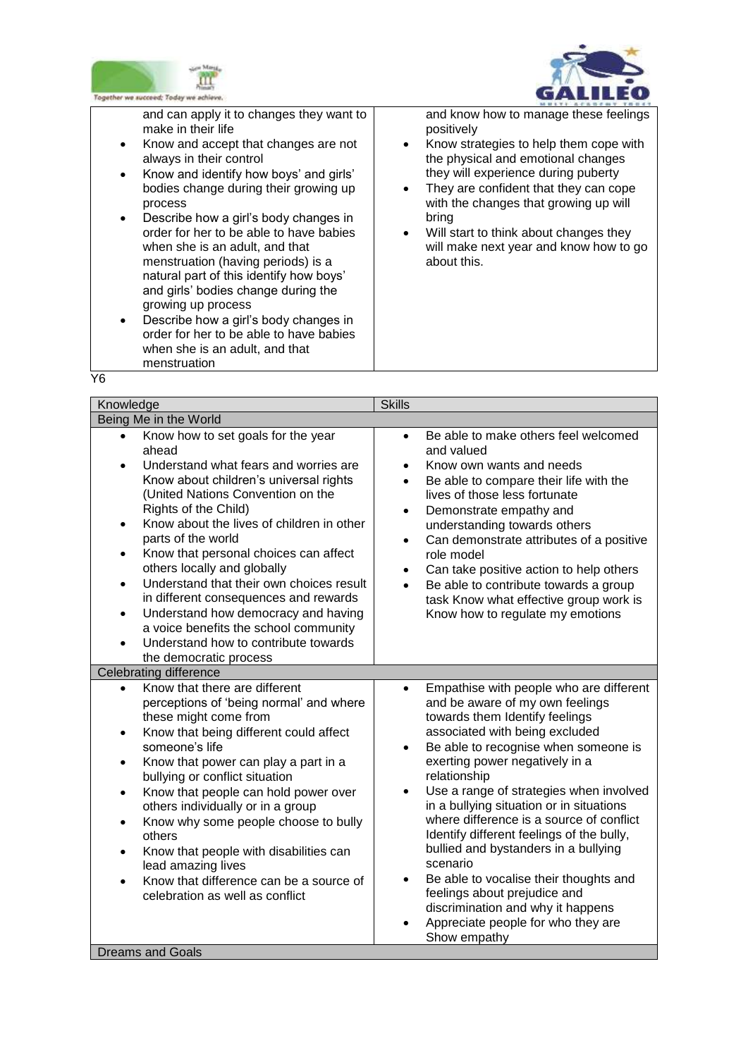



and can apply it to changes they want to make in their life

- Know and accept that changes are not always in their control
- Know and identify how boys' and girls' bodies change during their growing up process
- Describe how a girl's body changes in order for her to be able to have babies when she is an adult, and that menstruation (having periods) is a natural part of this identify how boys' and girls' bodies change during the growing up process
- Describe how a girl's body changes in order for her to be able to have babies when she is an adult, and that menstruation

and know how to manage these feelings positively

- Know strategies to help them cope with the physical and emotional changes they will experience during puberty
- They are confident that they can cope with the changes that growing up will bring
- Will start to think about changes they will make next year and know how to go about this.

| ł                 |
|-------------------|
| ٠                 |
| I<br>×<br>×<br>۰, |
|                   |

| Knowledge                                                                                                                                                                                                                                                                                                                                                                                                                                                                                                                                                                                          | <b>Skills</b>                                                                                                                                                                                                                                                                                                                                                                                                                                                                                                                                                                                                                                                                            |
|----------------------------------------------------------------------------------------------------------------------------------------------------------------------------------------------------------------------------------------------------------------------------------------------------------------------------------------------------------------------------------------------------------------------------------------------------------------------------------------------------------------------------------------------------------------------------------------------------|------------------------------------------------------------------------------------------------------------------------------------------------------------------------------------------------------------------------------------------------------------------------------------------------------------------------------------------------------------------------------------------------------------------------------------------------------------------------------------------------------------------------------------------------------------------------------------------------------------------------------------------------------------------------------------------|
| Being Me in the World<br>Know how to set goals for the year<br>$\bullet$                                                                                                                                                                                                                                                                                                                                                                                                                                                                                                                           | Be able to make others feel welcomed<br>$\bullet$                                                                                                                                                                                                                                                                                                                                                                                                                                                                                                                                                                                                                                        |
| ahead<br>Understand what fears and worries are<br>$\bullet$<br>Know about children's universal rights<br>(United Nations Convention on the<br>Rights of the Child)<br>Know about the lives of children in other<br>parts of the world<br>Know that personal choices can affect<br>others locally and globally<br>Understand that their own choices result<br>$\bullet$<br>in different consequences and rewards<br>Understand how democracy and having<br>$\bullet$<br>a voice benefits the school community<br>Understand how to contribute towards<br>the democratic process                     | and valued<br>Know own wants and needs<br>$\bullet$<br>Be able to compare their life with the<br>$\bullet$<br>lives of those less fortunate<br>Demonstrate empathy and<br>$\bullet$<br>understanding towards others<br>Can demonstrate attributes of a positive<br>role model<br>Can take positive action to help others<br>Be able to contribute towards a group<br>task Know what effective group work is<br>Know how to regulate my emotions                                                                                                                                                                                                                                          |
| <b>Celebrating difference</b>                                                                                                                                                                                                                                                                                                                                                                                                                                                                                                                                                                      |                                                                                                                                                                                                                                                                                                                                                                                                                                                                                                                                                                                                                                                                                          |
| Know that there are different<br>$\bullet$<br>perceptions of 'being normal' and where<br>these might come from<br>Know that being different could affect<br>$\bullet$<br>someone's life<br>Know that power can play a part in a<br>$\bullet$<br>bullying or conflict situation<br>Know that people can hold power over<br>$\bullet$<br>others individually or in a group<br>Know why some people choose to bully<br>$\bullet$<br>others<br>Know that people with disabilities can<br>$\bullet$<br>lead amazing lives<br>Know that difference can be a source of<br>celebration as well as conflict | Empathise with people who are different<br>$\bullet$<br>and be aware of my own feelings<br>towards them Identify feelings<br>associated with being excluded<br>Be able to recognise when someone is<br>$\bullet$<br>exerting power negatively in a<br>relationship<br>Use a range of strategies when involved<br>$\bullet$<br>in a bullying situation or in situations<br>where difference is a source of conflict<br>Identify different feelings of the bully,<br>bullied and bystanders in a bullying<br>scenario<br>Be able to vocalise their thoughts and<br>feelings about prejudice and<br>discrimination and why it happens<br>Appreciate people for who they are<br>Show empathy |
| <b>Dreams and Goals</b>                                                                                                                                                                                                                                                                                                                                                                                                                                                                                                                                                                            |                                                                                                                                                                                                                                                                                                                                                                                                                                                                                                                                                                                                                                                                                          |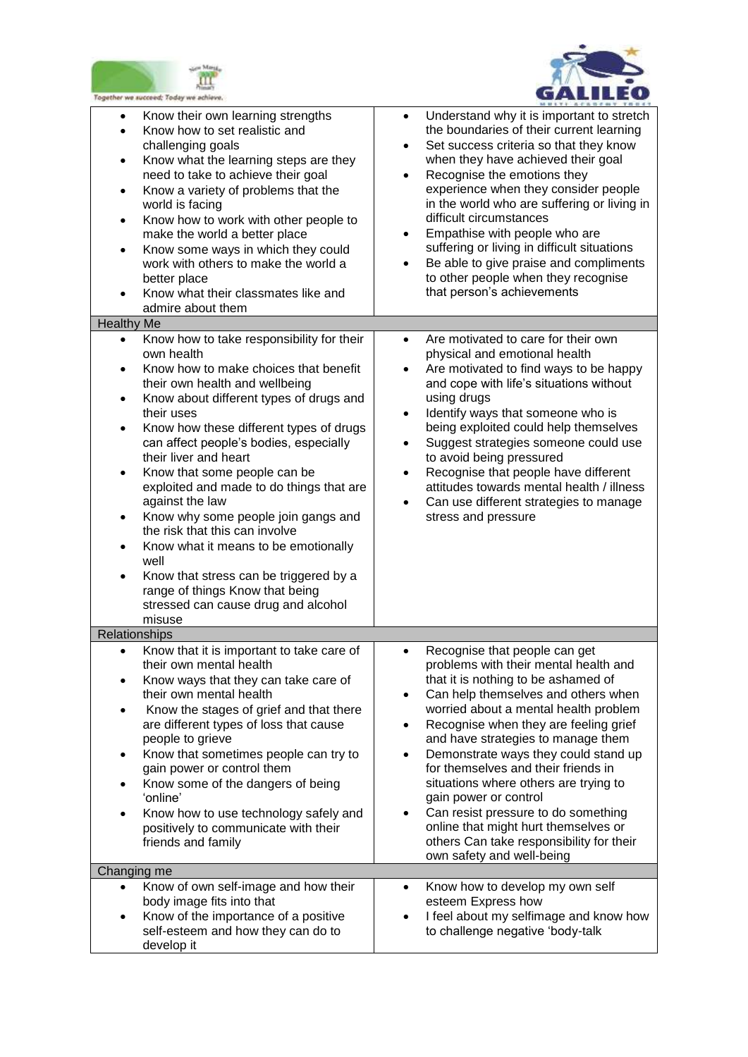



| ogether we succeed; Today we achieve.                                                                                                                                                                                                                                                                                                                                                                                                                                                                                                                                                                                                                                                                                                                                                                                                                                                                                                                                                                              |                                                                                                                                                                                                                                                                                                                                                                                                                                                                                                                                                                                                                                                                                                                                                                                                                                                                                                                                                                                                                                                                                         |
|--------------------------------------------------------------------------------------------------------------------------------------------------------------------------------------------------------------------------------------------------------------------------------------------------------------------------------------------------------------------------------------------------------------------------------------------------------------------------------------------------------------------------------------------------------------------------------------------------------------------------------------------------------------------------------------------------------------------------------------------------------------------------------------------------------------------------------------------------------------------------------------------------------------------------------------------------------------------------------------------------------------------|-----------------------------------------------------------------------------------------------------------------------------------------------------------------------------------------------------------------------------------------------------------------------------------------------------------------------------------------------------------------------------------------------------------------------------------------------------------------------------------------------------------------------------------------------------------------------------------------------------------------------------------------------------------------------------------------------------------------------------------------------------------------------------------------------------------------------------------------------------------------------------------------------------------------------------------------------------------------------------------------------------------------------------------------------------------------------------------------|
| Know their own learning strengths<br>$\bullet$<br>Know how to set realistic and<br>$\bullet$<br>challenging goals<br>Know what the learning steps are they<br>$\bullet$<br>need to take to achieve their goal<br>Know a variety of problems that the<br>$\bullet$<br>world is facing<br>Know how to work with other people to<br>$\bullet$<br>make the world a better place<br>Know some ways in which they could<br>$\bullet$<br>work with others to make the world a<br>better place<br>Know what their classmates like and<br>admire about them<br><b>Healthy Me</b><br>Know how to take responsibility for their<br>$\bullet$<br>own health<br>Know how to make choices that benefit<br>their own health and wellbeing<br>Know about different types of drugs and<br>$\bullet$<br>their uses<br>Know how these different types of drugs<br>can affect people's bodies, especially<br>their liver and heart<br>Know that some people can be<br>٠<br>exploited and made to do things that are<br>against the law | Understand why it is important to stretch<br>$\bullet$<br>the boundaries of their current learning<br>Set success criteria so that they know<br>$\bullet$<br>when they have achieved their goal<br>Recognise the emotions they<br>$\bullet$<br>experience when they consider people<br>in the world who are suffering or living in<br>difficult circumstances<br>Empathise with people who are<br>٠<br>suffering or living in difficult situations<br>Be able to give praise and compliments<br>to other people when they recognise<br>that person's achievements<br>Are motivated to care for their own<br>$\bullet$<br>physical and emotional health<br>Are motivated to find ways to be happy<br>$\bullet$<br>and cope with life's situations without<br>using drugs<br>Identify ways that someone who is<br>$\bullet$<br>being exploited could help themselves<br>Suggest strategies someone could use<br>٠<br>to avoid being pressured<br>Recognise that people have different<br>$\bullet$<br>attitudes towards mental health / illness<br>Can use different strategies to manage |
| Know why some people join gangs and<br>the risk that this can involve<br>Know what it means to be emotionally<br>$\bullet$<br>well<br>Know that stress can be triggered by a<br>$\bullet$<br>range of things Know that being<br>stressed can cause drug and alcohol<br>misuse                                                                                                                                                                                                                                                                                                                                                                                                                                                                                                                                                                                                                                                                                                                                      | stress and pressure                                                                                                                                                                                                                                                                                                                                                                                                                                                                                                                                                                                                                                                                                                                                                                                                                                                                                                                                                                                                                                                                     |
| <b>Relationships</b>                                                                                                                                                                                                                                                                                                                                                                                                                                                                                                                                                                                                                                                                                                                                                                                                                                                                                                                                                                                               |                                                                                                                                                                                                                                                                                                                                                                                                                                                                                                                                                                                                                                                                                                                                                                                                                                                                                                                                                                                                                                                                                         |
| Know that it is important to take care of<br>$\bullet$<br>their own mental health<br>Know ways that they can take care of<br>their own mental health<br>Know the stages of grief and that there<br>$\bullet$<br>are different types of loss that cause<br>people to grieve<br>Know that sometimes people can try to<br>$\bullet$<br>gain power or control them<br>Know some of the dangers of being<br>'online'<br>Know how to use technology safely and<br>positively to communicate with their<br>friends and family<br>Changing me                                                                                                                                                                                                                                                                                                                                                                                                                                                                              | Recognise that people can get<br>$\bullet$<br>problems with their mental health and<br>that it is nothing to be ashamed of<br>Can help themselves and others when<br>$\bullet$<br>worried about a mental health problem<br>Recognise when they are feeling grief<br>٠<br>and have strategies to manage them<br>Demonstrate ways they could stand up<br>$\bullet$<br>for themselves and their friends in<br>situations where others are trying to<br>gain power or control<br>Can resist pressure to do something<br>online that might hurt themselves or<br>others Can take responsibility for their<br>own safety and well-being                                                                                                                                                                                                                                                                                                                                                                                                                                                       |
| $\bullet$                                                                                                                                                                                                                                                                                                                                                                                                                                                                                                                                                                                                                                                                                                                                                                                                                                                                                                                                                                                                          | $\bullet$                                                                                                                                                                                                                                                                                                                                                                                                                                                                                                                                                                                                                                                                                                                                                                                                                                                                                                                                                                                                                                                                               |
| Know of own self-image and how their<br>body image fits into that<br>Know of the importance of a positive<br>self-esteem and how they can do to<br>develop it                                                                                                                                                                                                                                                                                                                                                                                                                                                                                                                                                                                                                                                                                                                                                                                                                                                      | Know how to develop my own self<br>esteem Express how<br>I feel about my selfimage and know how<br>to challenge negative 'body-talk                                                                                                                                                                                                                                                                                                                                                                                                                                                                                                                                                                                                                                                                                                                                                                                                                                                                                                                                                     |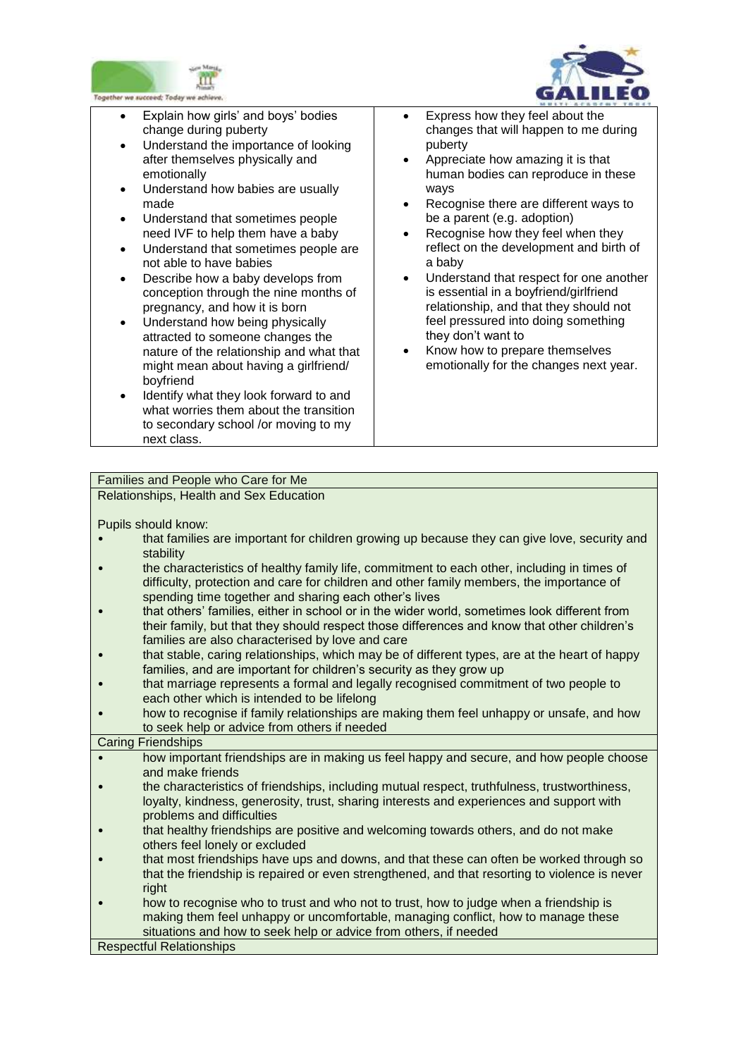



- Explain how girls' and boys' bodies change during puberty
- Understand the importance of looking after themselves physically and emotionally
- Understand how babies are usually made
- Understand that sometimes people need IVF to help them have a baby
- Understand that sometimes people are not able to have babies
- Describe how a baby develops from conception through the nine months of pregnancy, and how it is born
- Understand how being physically attracted to someone changes the nature of the relationship and what that might mean about having a girlfriend/ boyfriend
- Identify what they look forward to and what worries them about the transition to secondary school /or moving to my next class.
- Express how they feel about the changes that will happen to me during puberty
- Appreciate how amazing it is that human bodies can reproduce in these ways
- Recognise there are different ways to be a parent (e.g. adoption)
- Recognise how they feel when they reflect on the development and birth of a baby
- Understand that respect for one another is essential in a boyfriend/girlfriend relationship, and that they should not feel pressured into doing something they don't want to
- Know how to prepare themselves emotionally for the changes next year.

# Families and People who Care for Me

Relationships, Health and Sex Education

Pupils should know:

- that families are important for children growing up because they can give love, security and stability
- the characteristics of healthy family life, commitment to each other, including in times of difficulty, protection and care for children and other family members, the importance of spending time together and sharing each other's lives
- that others' families, either in school or in the wider world, sometimes look different from their family, but that they should respect those differences and know that other children's families are also characterised by love and care
- that stable, caring relationships, which may be of different types, are at the heart of happy families, and are important for children's security as they grow up
- that marriage represents a formal and legally recognised commitment of two people to each other which is intended to be lifelong
- how to recognise if family relationships are making them feel unhappy or unsafe, and how to seek help or advice from others if needed

## Caring Friendships

- how important friendships are in making us feel happy and secure, and how people choose and make friends
- the characteristics of friendships, including mutual respect, truthfulness, trustworthiness, loyalty, kindness, generosity, trust, sharing interests and experiences and support with problems and difficulties
- that healthy friendships are positive and welcoming towards others, and do not make others feel lonely or excluded
- that most friendships have ups and downs, and that these can often be worked through so that the friendship is repaired or even strengthened, and that resorting to violence is never right
- how to recognise who to trust and who not to trust, how to judge when a friendship is making them feel unhappy or uncomfortable, managing conflict, how to manage these situations and how to seek help or advice from others, if needed

Respectful Relationships